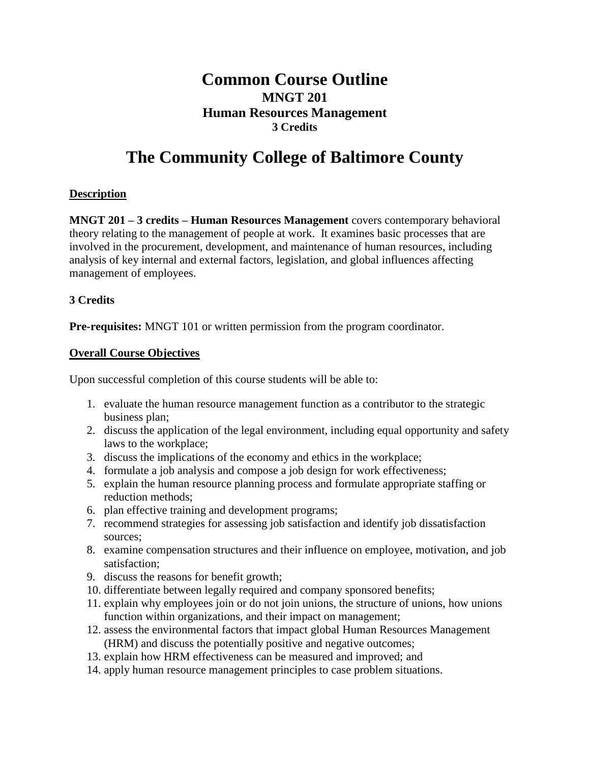# **Common Course Outline MNGT 201 Human Resources Management 3 Credits**

# **The Community College of Baltimore County**

# **Description**

**MNGT 201 – 3 credits – Human Resources Management** covers contemporary behavioral theory relating to the management of people at work. It examines basic processes that are involved in the procurement, development, and maintenance of human resources, including analysis of key internal and external factors, legislation, and global influences affecting management of employees.

# **3 Credits**

**Pre-requisites:** MNGT 101 or written permission from the program coordinator.

# **Overall Course Objectives**

Upon successful completion of this course students will be able to:

- 1. evaluate the human resource management function as a contributor to the strategic business plan;
- 2. discuss the application of the legal environment, including equal opportunity and safety laws to the workplace;
- 3. discuss the implications of the economy and ethics in the workplace;
- 4. formulate a job analysis and compose a job design for work effectiveness;
- 5. explain the human resource planning process and formulate appropriate staffing or reduction methods;
- 6. plan effective training and development programs;
- 7. recommend strategies for assessing job satisfaction and identify job dissatisfaction sources;
- 8. examine compensation structures and their influence on employee, motivation, and job satisfaction;
- 9. discuss the reasons for benefit growth;
- 10. differentiate between legally required and company sponsored benefits;
- 11. explain why employees join or do not join unions, the structure of unions, how unions function within organizations, and their impact on management;
- 12. assess the environmental factors that impact global Human Resources Management (HRM) and discuss the potentially positive and negative outcomes;
- 13. explain how HRM effectiveness can be measured and improved; and
- 14. apply human resource management principles to case problem situations.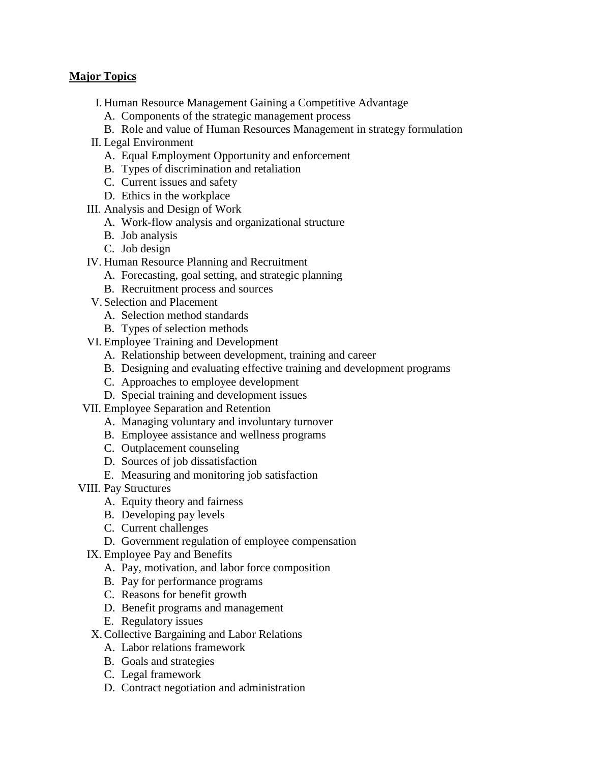### **Major Topics**

- I. Human Resource Management Gaining a Competitive Advantage
	- A. Components of the strategic management process
	- B. Role and value of Human Resources Management in strategy formulation
- II. Legal Environment
	- A. Equal Employment Opportunity and enforcement
	- B. Types of discrimination and retaliation
	- C. Current issues and safety
	- D. Ethics in the workplace
- III. Analysis and Design of Work
	- A. Work-flow analysis and organizational structure
	- B. Job analysis
	- C. Job design
- IV. Human Resource Planning and Recruitment
	- A. Forecasting, goal setting, and strategic planning
	- B. Recruitment process and sources
- V. Selection and Placement
	- A. Selection method standards
	- B. Types of selection methods
- VI. Employee Training and Development
	- A. Relationship between development, training and career
	- B. Designing and evaluating effective training and development programs
	- C. Approaches to employee development
	- D. Special training and development issues
- VII. Employee Separation and Retention
	- A. Managing voluntary and involuntary turnover
	- B. Employee assistance and wellness programs
	- C. Outplacement counseling
	- D. Sources of job dissatisfaction
	- E. Measuring and monitoring job satisfaction
- VIII. Pay Structures
	- A. Equity theory and fairness
	- B. Developing pay levels
	- C. Current challenges
	- D. Government regulation of employee compensation
	- IX. Employee Pay and Benefits
		- A. Pay, motivation, and labor force composition
		- B. Pay for performance programs
		- C. Reasons for benefit growth
		- D. Benefit programs and management
		- E. Regulatory issues
	- X.Collective Bargaining and Labor Relations
		- A. Labor relations framework
		- B. Goals and strategies
		- C. Legal framework
		- D. Contract negotiation and administration